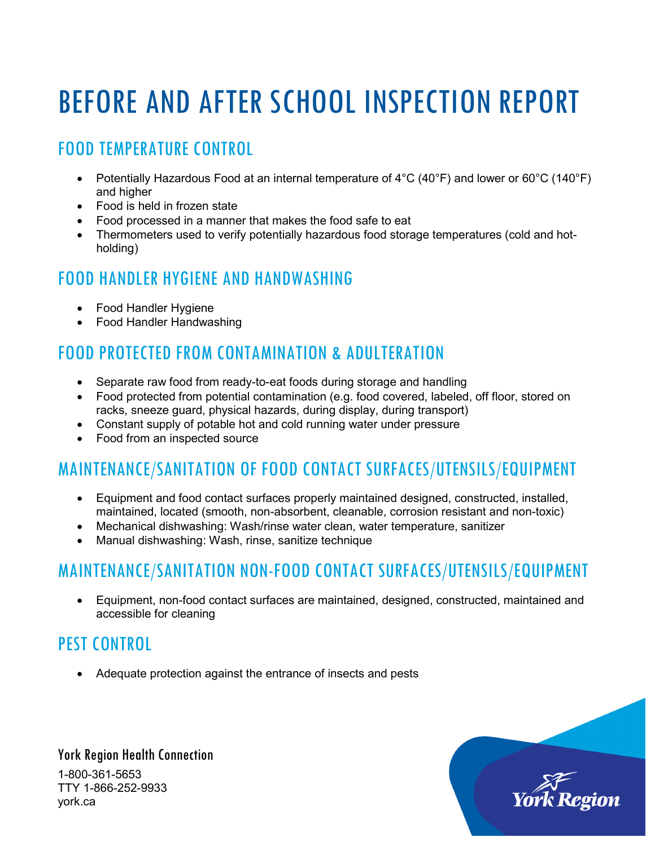# BEFORE AND AFTER SCHOOL INSPECTION REPORT

## FOOD TEMPERATURE CONTROL

- Potentially Hazardous Food at an internal temperature of  $4^{\circ}$ C (40°F) and lower or 60°C (140°F) and higher
- Food is held in frozen state
- Food processed in a manner that makes the food safe to eat
- Thermometers used to verify potentially hazardous food storage temperatures (cold and hotholding)

#### FOOD HANDLER HYGIENE AND HANDWASHING

- Food Handler Hygiene
- Food Handler Handwashing

## FOOD PROTECTED FROM CONTAMINATION & ADULTERATION

- Separate raw food from ready-to-eat foods during storage and handling
- Food protected from potential contamination (e.g. food covered, labeled, off floor, stored on racks, sneeze guard, physical hazards, during display, during transport)
- Constant supply of potable hot and cold running water under pressure
- Food from an inspected source

# MAINTENANCE/SANITATION OF FOOD CONTACT SURFACES/UTENSILS/EQUIPMENT

- Equipment and food contact surfaces properly maintained designed, constructed, installed, maintained, located (smooth, non-absorbent, cleanable, corrosion resistant and non-toxic)
- Mechanical dishwashing: Wash/rinse water clean, water temperature, sanitizer
- Manual dishwashing: Wash, rinse, sanitize technique

## MAINTENANCE/SANITATION NON-FOOD CONTACT SURFACES/UTENSILS/EQUIPMENT

• Equipment, non-food contact surfaces are maintained, designed, constructed, maintained and accessible for cleaning

## PEST CONTROL

• Adequate protection against the entrance of insects and pests